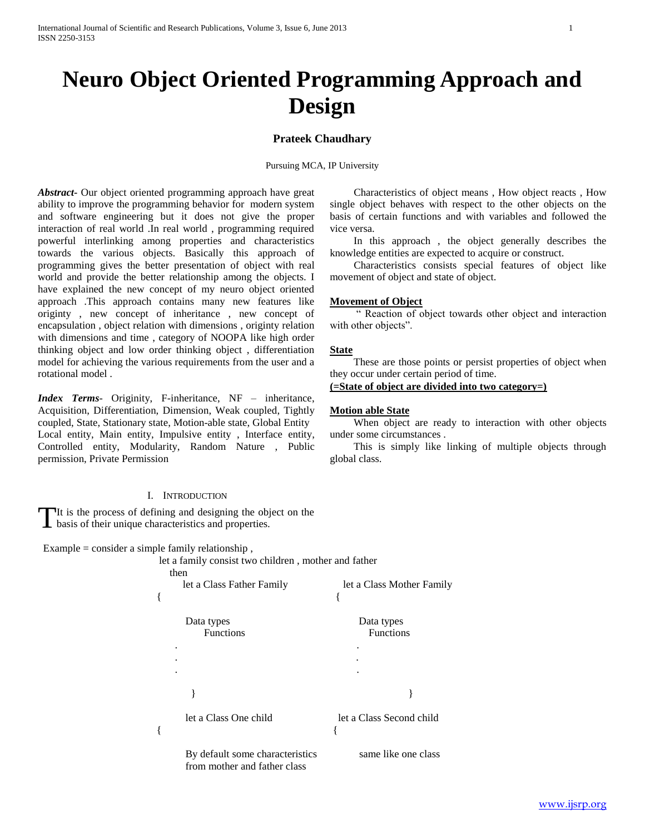# **Neuro Object Oriented Programming Approach and Design**

# **Prateek Chaudhary**

Pursuing MCA, IP University

*Abstract***-** Our object oriented programming approach have great ability to improve the programming behavior for modern system and software engineering but it does not give the proper interaction of real world .In real world , programming required powerful interlinking among properties and characteristics towards the various objects. Basically this approach of programming gives the better presentation of object with real world and provide the better relationship among the objects. I have explained the new concept of my neuro object oriented approach .This approach contains many new features like originty , new concept of inheritance , new concept of encapsulation , object relation with dimensions , originty relation with dimensions and time , category of NOOPA like high order thinking object and low order thinking object , differentiation model for achieving the various requirements from the user and a rotational model .

*Index Terms*- Originity, F-inheritance, NF – inheritance, Acquisition, Differentiation, Dimension, Weak coupled, Tightly coupled, State, Stationary state, Motion-able state, Global Entity Local entity, Main entity, Impulsive entity , Interface entity, Controlled entity, Modularity, Random Nature , Public permission, Private Permission

## I. INTRODUCTION

It is the process of defining and designing the object on the The is the process of defining and designing the obj basis of their unique characteristics and properties.

Example = consider a simple family relationship,

let a family consist two children , mother and father

| then                                                            |                                |
|-----------------------------------------------------------------|--------------------------------|
| let a Class Father Family                                       | let a Class Mother Family      |
|                                                                 |                                |
| Data types<br><b>Functions</b>                                  | Data types<br><b>Functions</b> |
|                                                                 |                                |
|                                                                 |                                |
|                                                                 |                                |
|                                                                 |                                |
| let a Class One child                                           | let a Class Second child       |
| By default some characteristics<br>from mother and father class | same like one class            |

 Characteristics of object means , How object reacts , How single object behaves with respect to the other objects on the basis of certain functions and with variables and followed the vice versa.

 In this approach , the object generally describes the knowledge entities are expected to acquire or construct.

 Characteristics consists special features of object like movement of object and state of object.

## **Movement of Object**

 " Reaction of object towards other object and interaction with other objects".

#### **State**

 These are those points or persist properties of object when they occur under certain period of time.

**(=State of object are divided into two category=)**

## **Motion able State**

 When object are ready to interaction with other objects under some circumstances .

 This is simply like linking of multiple objects through global class.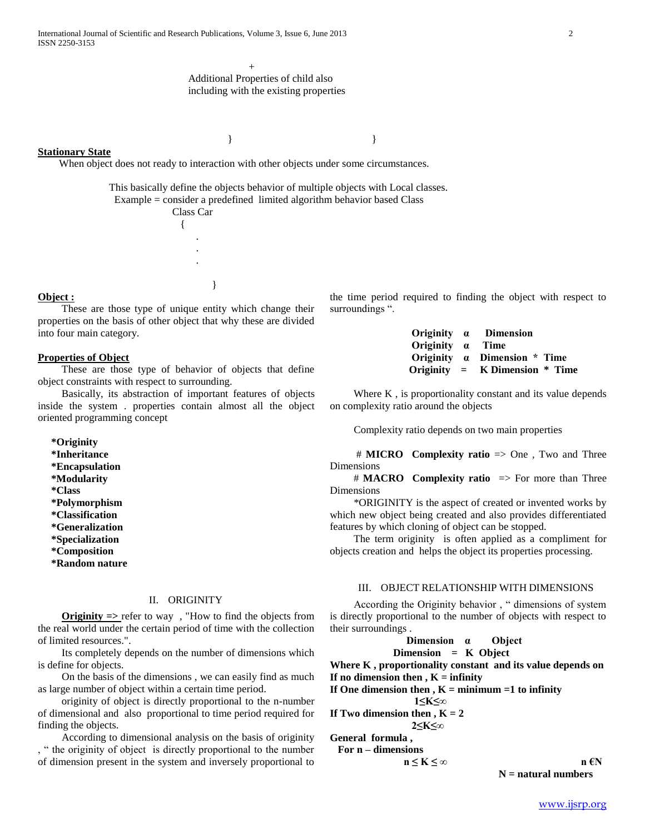#### **Stationary State**

When object does not ready to interaction with other objects under some circumstances.

 This basically define the objects behavior of multiple objects with Local classes. Example = consider a predefined limited algorithm behavior based Class

 Class Car { . . . }

} }

## **Object :**

 These are those type of unique entity which change their properties on the basis of other object that why these are divided into four main category.

## **Properties of Object**

 These are those type of behavior of objects that define object constraints with respect to surrounding.

 Basically, its abstraction of important features of objects inside the system . properties contain almost all the object oriented programming concept

 **\*Originity \*Inheritance \*Encapsulation \*Modularity \*Class \*Polymorphism \*Classification \*Generalization \*Specialization \*Composition \*Random nature**

#### II. ORIGINITY

 **Originity =>** refer to way , "How to find the objects from the real world under the certain period of time with the collection of limited resources.".

 Its completely depends on the number of dimensions which is define for objects.

 On the basis of the dimensions , we can easily find as much as large number of object within a certain time period.

 originity of object is directly proportional to the n-number of dimensional and also proportional to time period required for finding the objects.

 According to dimensional analysis on the basis of originity , " the originity of object is directly proportional to the number of dimension present in the system and inversely proportional to

|                         | Originity a Dimension                 |
|-------------------------|---------------------------------------|
| Originity $\alpha$ Time |                                       |
|                         | Originity $\alpha$ Dimension $*$ Time |
|                         | Originity = $K$ Dimension $*$ Time    |

Where K, is proportionality constant and its value depends on complexity ratio around the objects

the time period required to finding the object with respect to

Complexity ratio depends on two main properties

 # **MICRO Complexity ratio** => One , Two and Three Dimensions

 # **MACRO Complexity ratio** => For more than Three Dimensions

 \*ORIGINITY is the aspect of created or invented works by which new object being created and also provides differentiated features by which cloning of object can be stopped.

 The term originity is often applied as a compliment for objects creation and helps the object its properties processing.

## III. OBJECT RELATIONSHIP WITH DIMENSIONS

 According the Originity behavior , " dimensions of system is directly proportional to the number of objects with respect to their surroundings .

**Dimension** 
$$
\alpha
$$
 **Object**  
\n**Dimension** = **K Object**

**Where K , proportionality constant and its value depends on** If no dimension then  $, K =$  infinity

If One dimension then  $, K =$  minimum  $=1$  to infinity

 **1≤K≤∞**

**If Two dimension then ,**  $K = 2$  **2≤K≤∞**

**General formula ,**

surroundings ".

 **For n – dimensions**

**n ≤ K < ∞ n €N N = natural numbers**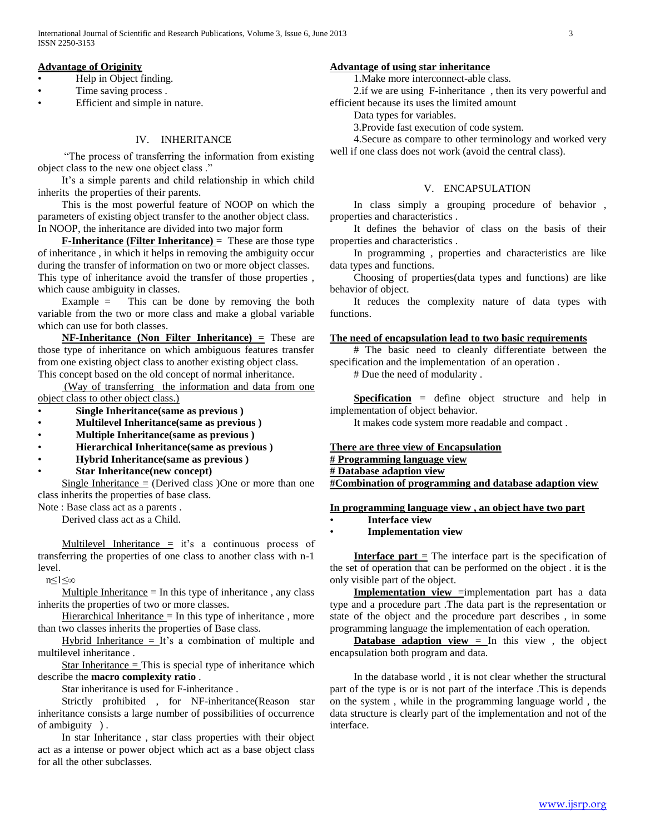# **Advantage of Originity**

- Help in Object finding.
- Time saving process.
- Efficient and simple in nature.

# IV. INHERITANCE

 "The process of transferring the information from existing object class to the new one object class ."

 It's a simple parents and child relationship in which child inherits the properties of their parents.

 This is the most powerful feature of NOOP on which the parameters of existing object transfer to the another object class. In NOOP, the inheritance are divided into two major form

**F-Inheritance (Filter Inheritance)** = These are those type of inheritance , in which it helps in removing the ambiguity occur during the transfer of information on two or more object classes. This type of inheritance avoid the transfer of those properties , which cause ambiguity in classes.

 Example = This can be done by removing the both variable from the two or more class and make a global variable which can use for both classes.

 **NF-Inheritance (Non Filter Inheritance) =** These are those type of inheritance on which ambiguous features transfer from one existing object class to another existing object class. This concept based on the old concept of normal inheritance.

 (Way of transferring the information and data from one object class to other object class.)

- **Single Inheritance(same as previous )**
- **Multilevel Inheritance(same as previous )**
- **Multiple Inheritance(same as previous )**
- **Hierarchical Inheritance(same as previous )**
- **Hybrid Inheritance(same as previous )**
- **Star Inheritance(new concept)**

Single Inheritance  $=$  (Derived class) One or more than one class inherits the properties of base class.

Note : Base class act as a parents .

Derived class act as a Child.

Multilevel Inheritance  $\equiv$  it's a continuous process of transferring the properties of one class to another class with n-1 level.

n≤1≤∞

Multiple Inheritance  $=$  In this type of inheritance, any class inherits the properties of two or more classes.

Hierarchical Inheritance  $=$  In this type of inheritance, more than two classes inherits the properties of Base class.

Hybrid Inheritance  $=$  It's a combination of multiple and multilevel inheritance .

Star Inheritance  $=$  This is special type of inheritance which describe the **macro complexity ratio** .

Star inheritance is used for F-inheritance .

 Strictly prohibited , for NF-inheritance(Reason star inheritance consists a large number of possibilities of occurrence of ambiguity ) .

 In star Inheritance , star class properties with their object act as a intense or power object which act as a base object class for all the other subclasses.

## **Advantage of using star inheritance**

1.Make more interconnect-able class.

 2.if we are using F-inheritance , then its very powerful and efficient because its uses the limited amount

Data types for variables.

3.Provide fast execution of code system.

 4.Secure as compare to other terminology and worked very well if one class does not work (avoid the central class).

# V. ENCAPSULATION

 In class simply a grouping procedure of behavior , properties and characteristics .

 It defines the behavior of class on the basis of their properties and characteristics .

 In programming , properties and characteristics are like data types and functions.

 Choosing of properties(data types and functions) are like behavior of object.

 It reduces the complexity nature of data types with functions.

## **The need of encapsulation lead to two basic requirements**

 # The basic need to cleanly differentiate between the specification and the implementation of an operation .

# Due the need of modularity .

 **Specification** = define object structure and help in implementation of object behavior.

It makes code system more readable and compact .

**There are three view of Encapsulation** 

**# Programming language view**

**# Database adaption view** 

**#Combination of programming and database adaption view**

## **In programming language view , an object have two part**

• **Interface view** 

## • **Implementation view**

**Interface part**  $\equiv$  The interface part is the specification of the set of operation that can be performed on the object . it is the only visible part of the object.

**Implementation view** =implementation part has a data type and a procedure part .The data part is the representation or state of the object and the procedure part describes , in some programming language the implementation of each operation.

**Database adaption view** = In this view, the object encapsulation both program and data.

 In the database world , it is not clear whether the structural part of the type is or is not part of the interface .This is depends on the system , while in the programming language world , the data structure is clearly part of the implementation and not of the interface.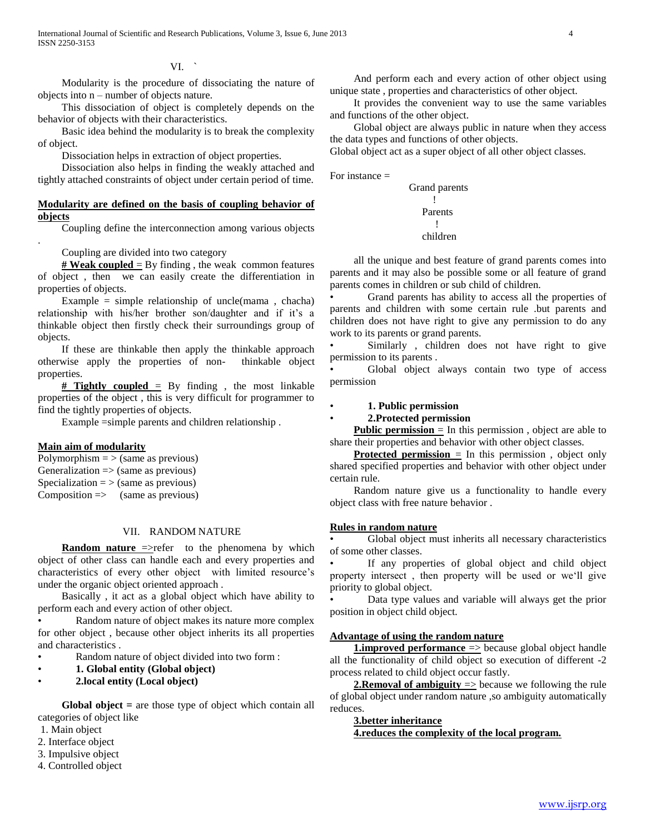VI. `

 Modularity is the procedure of dissociating the nature of objects into n – number of objects nature.

 This dissociation of object is completely depends on the behavior of objects with their characteristics.

 Basic idea behind the modularity is to break the complexity of object.

Dissociation helps in extraction of object properties.

 Dissociation also helps in finding the weakly attached and tightly attached constraints of object under certain period of time.

## **Modularity are defined on the basis of coupling behavior of objects**

Coupling define the interconnection among various objects

Coupling are divided into two category

 $\frac{\text{# Weak coupled}}{\text{=}}$  By finding, the weak common features of object , then we can easily create the differentiation in properties of objects.

Example = simple relationship of uncle(mama, chacha) relationship with his/her brother son/daughter and if it's a thinkable object then firstly check their surroundings group of objects.

 If these are thinkable then apply the thinkable approach otherwise apply the properties of non- thinkable object properties.

 $#$  **Tightly coupled** = By finding, the most linkable properties of the object , this is very difficult for programmer to find the tightly properties of objects.

Example =simple parents and children relationship .

## **Main aim of modularity**

.

Polymorphism  $=$  > (same as previous) Generalization  $\Rightarrow$  (same as previous) Specialization  $=$  > (same as previous)  $Composition \Rightarrow$  (same as previous)

## VII. RANDOM NATURE

**Random nature** =>refer to the phenomena by which object of other class can handle each and every properties and characteristics of every other object with limited resource's under the organic object oriented approach .

 Basically , it act as a global object which have ability to perform each and every action of other object.

Random nature of object makes its nature more complex for other object , because other object inherits its all properties and characteristics .

Random nature of object divided into two form :

- **1. Global entity (Global object)**
- **2.local entity (Local object)**

 **Global object =** are those type of object which contain all categories of object like

- 1. Main object
- 2. Interface object
- 3. Impulsive object
- 4. Controlled object

 And perform each and every action of other object using unique state , properties and characteristics of other object.

 It provides the convenient way to use the same variables and functions of the other object.

 Global object are always public in nature when they access the data types and functions of other objects.

Global object act as a super object of all other object classes.

For instance =

 Grand parents **1990** - Paul Barrison, actor (b. 1980) Parents **1999** - Andrea Andrea Andrea (b. 1989) children

 all the unique and best feature of grand parents comes into parents and it may also be possible some or all feature of grand parents comes in children or sub child of children.

• Grand parents has ability to access all the properties of parents and children with some certain rule .but parents and children does not have right to give any permission to do any work to its parents or grand parents.

Similarly, children does not have right to give permission to its parents .

Global object always contain two type of access permission

## • **1. Public permission**

• **2.Protected permission**

**Public permission** = In this permission, object are able to share their properties and behavior with other object classes.

**Protected permission** = In this permission, object only shared specified properties and behavior with other object under certain rule.

 Random nature give us a functionality to handle every object class with free nature behavior .

## **Rules in random nature**

Global object must inherits all necessary characteristics of some other classes.

If any properties of global object and child object property intersect , then property will be used or we'll give priority to global object.

• Data type values and variable will always get the prior position in object child object.

## **Advantage of using the random nature**

**1.improved performance**  $\Rightarrow$  because global object handle all the functionality of child object so execution of different -2 process related to child object occur fastly.

**2.Removal of ambiguity**  $\Rightarrow$  because we following the rule of global object under random nature ,so ambiguity automatically reduces.

# **3.better inheritance**

**4.reduces the complexity of the local program.**